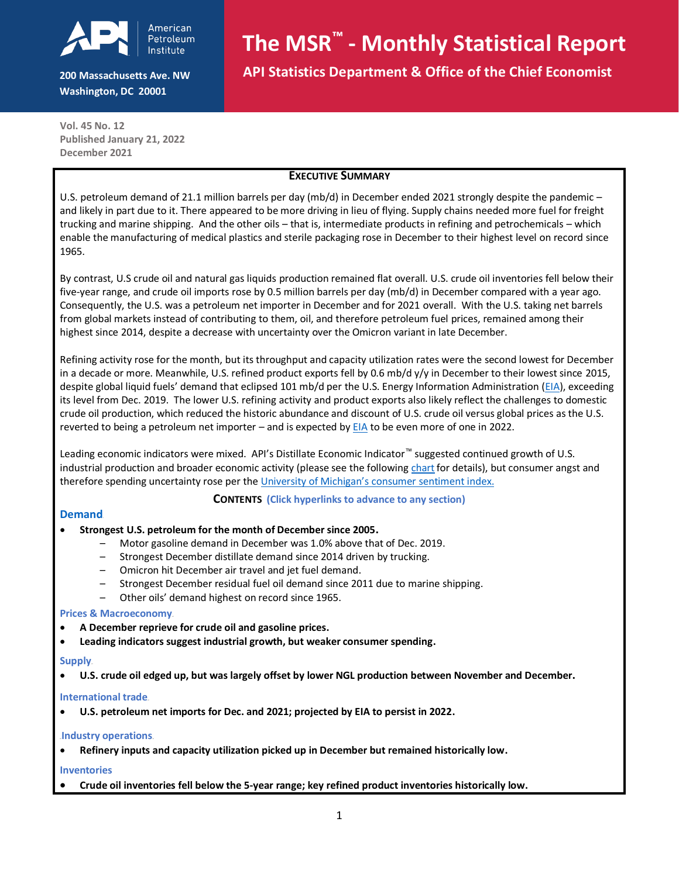

**200 Massachusetts Ave. NW Washington, DC 20001**

# **The MSR™ - Monthly Statistical Report**

 **API Statistics Department & Office of the Chief Economist**

**Vol. 45 No. 12 Published January 21, 2022 December 2021**

# **EXECUTIVE SUMMARY**

U.S. petroleum demand of 21.1 million barrels per day (mb/d) in December ended 2021 strongly despite the pandemic – and likely in part due to it. There appeared to be more driving in lieu of flying. Supply chains needed more fuel for freight trucking and marine shipping. And the other oils – that is, intermediate products in refining and petrochemicals – which enable the manufacturing of medical plastics and sterile packaging rose in December to their highest level on record since 1965.

By contrast, U.S crude oil and natural gas liquids production remained flat overall. U.S. crude oil inventories fell below their five-year range, and crude oil imports rose by 0.5 million barrels per day (mb/d) in December compared with a year ago. Consequently, the U.S. was a petroleum net importer in December and for 2021 overall. With the U.S. taking net barrels from global markets instead of contributing to them, oil, and therefore petroleum fuel prices, remained among their highest since 2014, despite a decrease with uncertainty over the Omicron variant in late December.

Refining activity rose for the month, but its throughput and capacity utilization rates were the second lowest for December in a decade or more. Meanwhile, U.S. refined product exports fell by 0.6 mb/d  $y/y$  in December to their lowest since 2015, despite global liquid fuels' demand that eclipsed 101 mb/d per the U.S. Energy Information Administration [\(EIA\)](https://www.eia.gov/outlooks/steo/data/browser/#/?v=6&f=A&s=0&start=2017&end=2023&map=&linechart=~PATC_WORLD&maptype=0&ctype=linechart), exceeding its level from Dec. 2019. The lower U.S. refining activity and product exports also likely reflect the challenges to domestic crude oil production, which reduced the historic abundance and discount of U.S. crude oil versus global prices as the U.S. reverted to being a petroleum net importer – and is expected b[y EIA](https://www.eia.gov/outlooks/steo/data/browser/#/?v=9&f=A&s=0&start=2017&end=2022&ctype=linechart&maptype=0&linechart=~PANIPUS~CONIPUS&map=) to be even more of one in 2022.

Leading economic indicators were mixed. API's Distillate Economic Indicator™ suggested continued growth of U.S. industrial production and broader economic activity (please see the followin[g chart](#page-0-0) for details), but consumer angst and therefore spending uncertainty rose per the University [of Michigan's consumer sentiment index](http://www.sca.isr.umich.edu/).

#### <span id="page-0-0"></span>**CONTENTS (Click hyperlinks to advance to any section)**

#### **[Demand](#page-1-0)**

#### • **[Strongest U.S. petroleum for the month of December since 2005](#page-1-0)[.](#page-1-0)**

- [Motor gasoline demand in December was 1.0% above that of Dec. 2019.](#page-1-1)
- [Strongest December distillate demand since 2014](#page-1-2) driven by trucking.
- [Omicron hit December air travel and jet fuel demand.](#page-2-0)
- [Strongest December residual fuel oil demand since 2011 due to](#page-2-1) marine shipping.
- Other oils' demand [highest on record since 1965.](#page-2-2)

#### **[Prices & Macroeconomy](#page-2-3).**

- **A [December reprieve for crude oil and gasoline](#page-2-3) prices.**
- **[Leading indicators suggest industrial growth, but weaker consumer spending.](#page-3-0)**

#### **[Supply](#page-3-1)**

• **[U.S. crude oil edged up, but was largely offset by lower NGL production](#page-3-1) between November and December[.](#page-3-1)**

#### **[International trade](#page-4-0)**.

• **[U.S. petroleum net imports for Dec. and 2021; projected by EIA to persist in 2022.](#page-4-0)**

#### **Industry operations.**

• **Refinery [inputs and capacity utilization picked up in December but remained historically low.](#page-4-1)**

#### **[Inventories](#page-4-2)**

• **[Crude oil inventories fell below the 5-year range; key refined product inventories historically low.](#page-4-2)**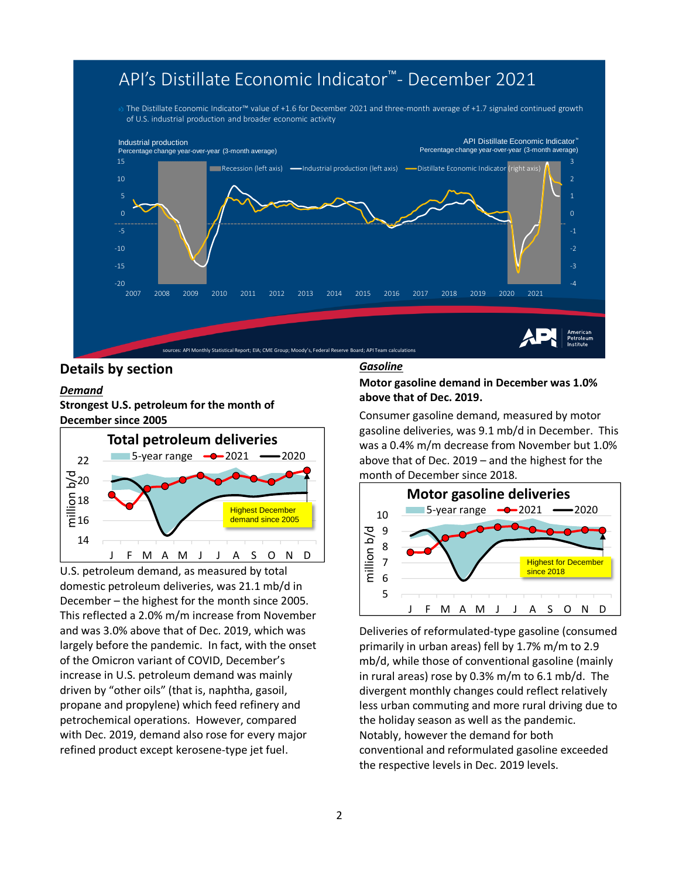# API's Distillate Economic Indicator<sup>™</sup>- December 2021

The Distillate Economic Indicator<sup>m</sup> value of +1.6 for December 2021 and three-month average of +1.7 signaled continued growth of U.S. industrial production and broader economic activity



# **Details by section**

#### <span id="page-1-0"></span>*Demand*

**Strongest U.S. petroleum for the month of December since 2005**



<span id="page-1-1"></span>U.S. petroleum demand, as measured by total domestic petroleum deliveries, was 21.1 mb/d in December – the highest for the month since 2005. This reflected a 2.0% m/m increase from November and was 3.0% above that of Dec. 2019, which was largely before the pandemic. In fact, with the onset of the Omicron variant of COVID, December's increase in U.S. petroleum demand was mainly driven by "other oils" (that is, naphtha, gasoil, propane and propylene) which feed refinery and petrochemical operations. However, compared with Dec. 2019, demand also rose for every major refined product except kerosene-type jet fuel.

#### *Gasoline*

# **Motor gasoline demand in December was 1.0% above that of Dec. 2019.**

Consumer gasoline demand, measured by motor gasoline deliveries, was 9.1 mb/d in December. This was a 0.4% m/m decrease from November but 1.0% above that of Dec. 2019 – and the highest for the month of December since 2018.



<span id="page-1-2"></span>Deliveries of reformulated-type gasoline (consumed primarily in urban areas) fell by 1.7% m/m to 2.9 mb/d, while those of conventional gasoline (mainly in rural areas) rose by 0.3% m/m to 6.1 mb/d. The divergent monthly changes could reflect relatively less urban commuting and more rural driving due to the holiday season as well as the pandemic. Notably, however the demand for both conventional and reformulated gasoline exceeded the respective levels in Dec. 2019 levels.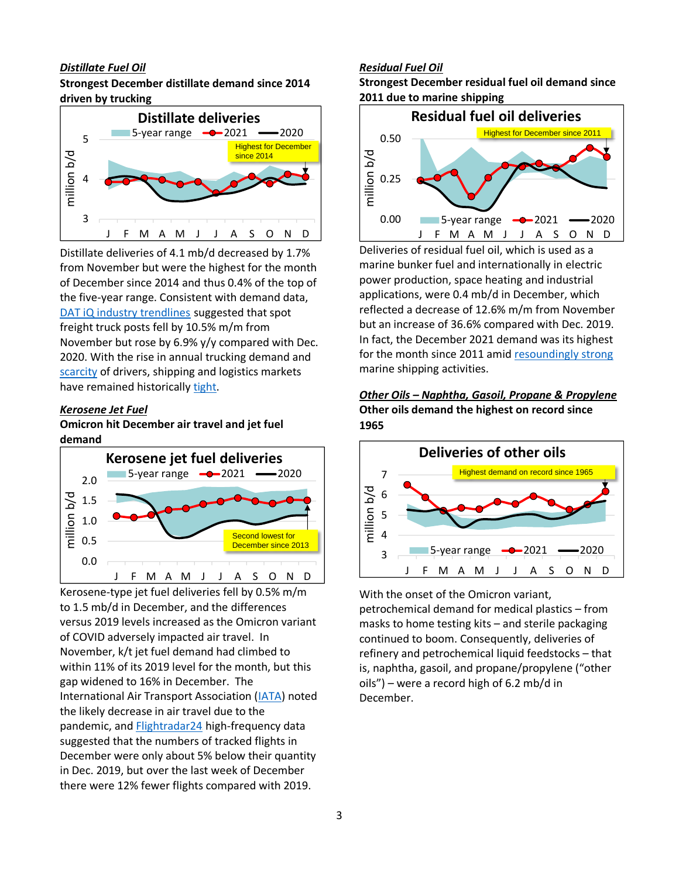# *Distillate Fuel Oil*

# **Strongest December distillate demand since 2014 driven by trucking**



Distillate deliveries of 4.1 mb/d decreased by 1.7% from November but were the highest for the month of December since 2014 and thus 0.4% of the top of the five-year range. Consistent with demand data, [DAT iQ industry trendlines](https://www.dat.com/industry-trends/trendlines) suggested that spot freight truck posts fell by 10.5% m/m from November but rose by 6.9% y/y compared with Dec. 2020. With the rise in annual trucking demand and [scarcity](https://www.vox.com/22841783/truck-drivers-shortage-supply-chain-pandemic) of drivers, shipping and logistics markets have remained historically [tight.](https://www.wsj.com/articles/shipping-and-logistics-costs-are-expected-to-keep-rising-in-2022-11639918804)

#### <span id="page-2-0"></span>*Kerosene Jet Fuel*

# **Omicron hit December air travel and jet fuel demand**



Kerosene-type jet fuel deliveries fell by 0.5% m/m to 1.5 mb/d in December, and the differences versus 2019 levels increased as the Omicron variant of COVID adversely impacted air travel. In November, k/t jet fuel demand had climbed to within 11% of its 2019 level for the month, but this gap widened to 16% in December. The International Air Transport Association [\(IATA\)](https://www.iata.org/en/pressroom/2022-releases/2022-01-12-01/) noted the likely decrease in air travel due to the pandemic, an[d Flightradar24](https://www.flightradar24.com/data/statistics) high-frequency data suggested that the numbers of tracked flights in December were only about 5% below their quantity in Dec. 2019, but over the last week of December there were 12% fewer flights compared with 2019.

# <span id="page-2-1"></span>*Residual Fuel Oil*

**Strongest December residual fuel oil demand since 2011 due to marine shipping**



Deliveries of residual fuel oil, which is used as a marine bunker fuel and internationally in electric power production, space heating and industrial applications, were 0.4 mb/d in December, which reflected a decrease of 12.6% m/m from November but an increase of 36.6% compared with Dec. 2019. In fact, the December 2021 demand was its highest for the month since 2011 amid [resoundingly strong](https://www.washingtonpost.com/business/the-container-shipping-industry-is-raking-it-in-for-now/2022/01/13/ee2c4196-7446-11ec-a26d-1c21c16b1c93_story.html) marine shipping activities.

# <span id="page-2-2"></span>*Other Oils – Naphtha, Gasoil, Propane & Propylene* **Other oils demand the highest on record since 1965**



<span id="page-2-3"></span>With the onset of the Omicron variant, petrochemical demand for medical plastics – from masks to home testing kits – and sterile packaging continued to boom. Consequently, deliveries of refinery and petrochemical liquid feedstocks – that is, naphtha, gasoil, and propane/propylene ("other oils") – were a record high of 6.2 mb/d in December.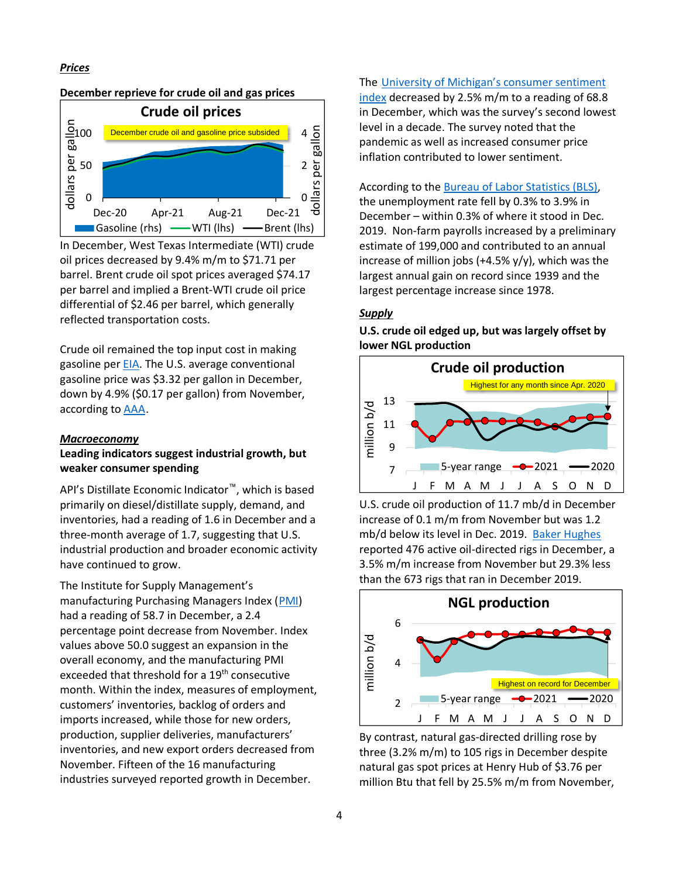#### *Prices*



In December, West Texas Intermediate (WTI) crude oil prices decreased by 9.4% m/m to \$71.71 per barrel. Brent crude oil spot prices averaged \$74.17 per barrel and implied a Brent-WTI crude oil price differential of \$2.46 per barrel, which generally reflected transportation costs.

Crude oil remained the top input cost in making gasoline per [EIA.](https://www.eia.gov/petroleum/gasdiesel/) The U.S. average conventional gasoline price was \$3.32 per gallon in December, down by 4.9% (\$0.17 per gallon) from November, according to [AAA](https://gasprices.aaa.com/).

#### <span id="page-3-0"></span>*Macroeconomy*

# **Leading indicators suggest industrial growth, but weaker consumer spending**

API's Distillate Economic Indicator™, which is based primarily on diesel/distillate supply, demand, and inventories, had a reading of 1.6 in December and a three-month average of 1.7, suggesting that U.S. industrial production and broader economic activity have continued to grow.

The Institute for Supply Management's manufacturing Purchasing Managers Index ([PMI\)](https://www.ismworld.org/supply-management-news-and-reports/reports/ism-report-on-business/) had a reading of 58.7 in December, a 2.4 percentage point decrease from November. Index values above 50.0 suggest an expansion in the overall economy, and the manufacturing PMI exceeded that threshold for a 19<sup>th</sup> consecutive month. Within the index, measures of employment, customers' inventories, backlog of orders and imports increased, while those for new orders, production, supplier deliveries, manufacturers' inventories, and new export orders decreased from November. Fifteen of the 16 manufacturing industries surveyed reported growth in December.

The University of Michigan's consumer sentiment [index](http://www.sca.isr.umich.edu/) decreased by 2.5% m/m to a reading of 68.8 in December, which was the survey's second lowest level in a decade. The survey noted that the pandemic as well as increased consumer price inflation contributed to lower sentiment.

According to the [Bureau of Labor Statistics \(BLS\),](https://www.bls.gov/) the unemployment rate fell by 0.3% to 3.9% in December – within 0.3% of where it stood in Dec. 2019. Non-farm payrolls increased by a preliminary estimate of 199,000 and contributed to an annual increase of million jobs (+4.5%  $y/y$ ), which was the largest annual gain on record since 1939 and the largest percentage increase since 1978.

# <span id="page-3-1"></span>*Supply*

**U.S. crude oil edged up, but was largely offset by lower NGL production**



U.S. crude oil production of 11.7 mb/d in December increase of 0.1 m/m from November but was 1.2 mb/d below its level in Dec. 2019. [Baker Hughes](https://rigcount.bakerhughes.com/na-rig-count). reported 476 active oil-directed rigs in December, a 3.5% m/m increase from November but 29.3% less than the 673 rigs that ran in December 2019.



By contrast, natural gas-directed drilling rose by three (3.2% m/m) to 105 rigs in December despite natural gas spot prices at Henry Hub of \$3.76 per million Btu that fell by 25.5% m/m from November,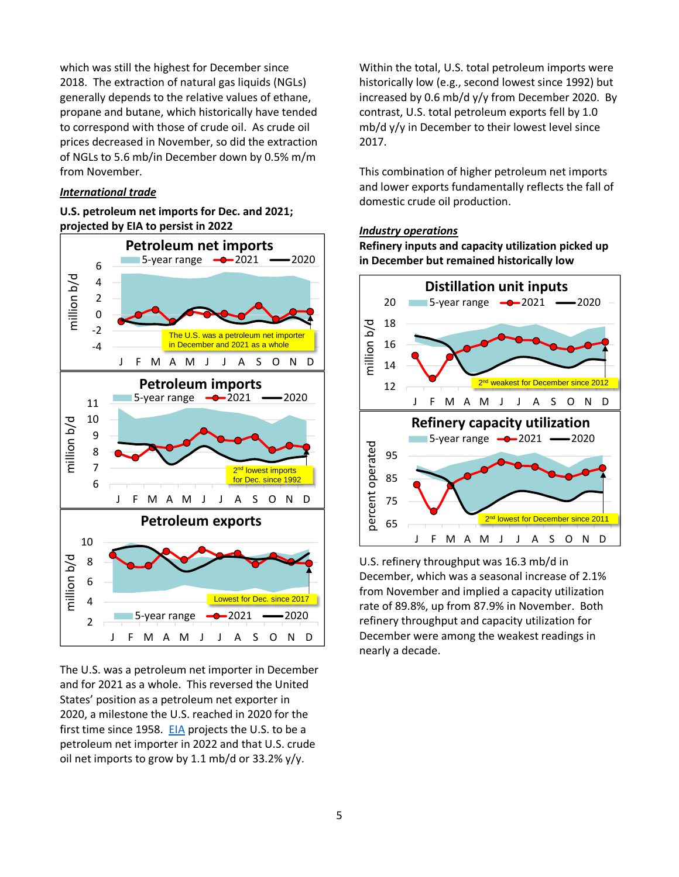which was still the highest for December since 2018. The extraction of natural gas liquids (NGLs) generally depends to the relative values of ethane, propane and butane, which historically have tended to correspond with those of crude oil. As crude oil prices decreased in November, so did the extraction of NGLs to 5.6 mb/in December down by 0.5% m/m from November.

#### *International trade*

# **U.S. petroleum net imports for Dec. and 2021; projected by EIA to persist in 2022**



The U.S. was a petroleum net importer in December and for 2021 as a whole. This reversed the United States' position as a petroleum net exporter in 2020, a milestone the U.S. reached in 2020 for the first time since 1958. [EIA](https://www.eia.gov/outlooks/steo/data/browser/#/?v=9&f=A&s=0&start=2017&end=2022&ctype=linechart&maptype=0&linechart=~PANIPUS~CONIPUS&map=) projects the U.S. to be a petroleum net importer in 2022 and that U.S. crude oil net imports to grow by 1.1 mb/d or 33.2% y/y.

Within the total, U.S. total petroleum imports were historically low (e.g., second lowest since 1992) but increased by 0.6 mb/d y/y from December 2020. By contrast, U.S. total petroleum exports fell by 1.0 mb/d y/y in December to their lowest level since 2017.

<span id="page-4-0"></span>This combination of higher petroleum net imports and lower exports fundamentally reflects the fall of domestic crude oil production.

# <span id="page-4-1"></span>*Industry operations*

<span id="page-4-2"></span>**Refinery inputs and capacity utilization picked up in December but remained historically low**



U.S. refinery throughput was 16.3 mb/d in December, which was a seasonal increase of 2.1% from November and implied a capacity utilization rate of 89.8%, up from 87.9% in November. Both refinery throughput and capacity utilization for December were among the weakest readings in nearly a decade.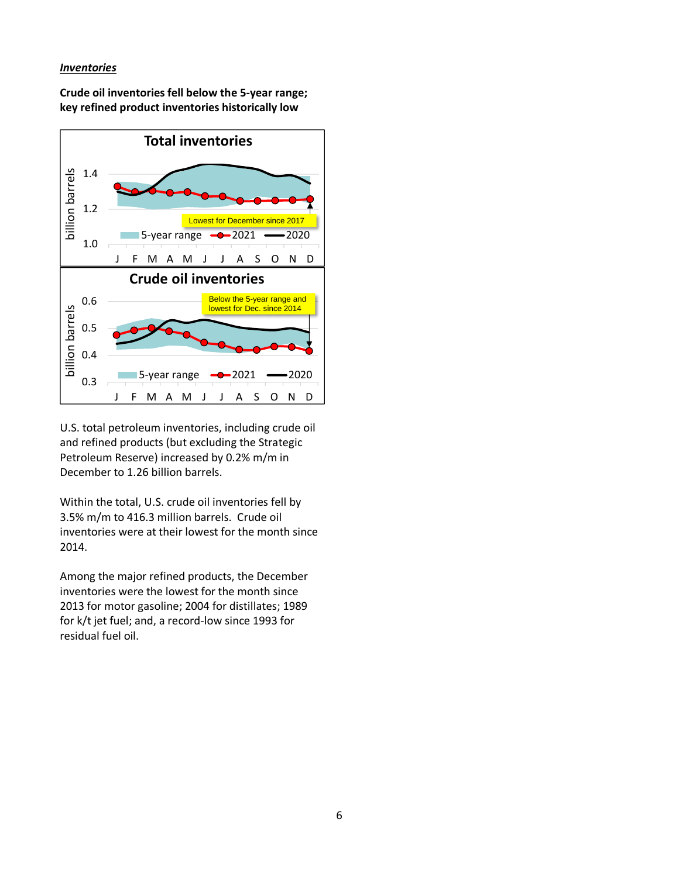# *Inventories*

**Crude oil inventories fell below the 5-year range; key refined product inventories historically low**



U.S. total petroleum inventories, including crude oil and refined products (but excluding the Strategic Petroleum Reserve) increased by 0.2% m/m in December to 1.26 billion barrels.

Within the total, U.S. crude oil inventories fell by 3.5% m/m to 416.3 million barrels. Crude oil inventories were at their lowest for the month since 2014.

Among the major refined products, the December inventories were the lowest for the month since 2013 for motor gasoline; 2004 for distillates; 1989 for k/t jet fuel; and, a record-low since 1993 for residual fuel oil.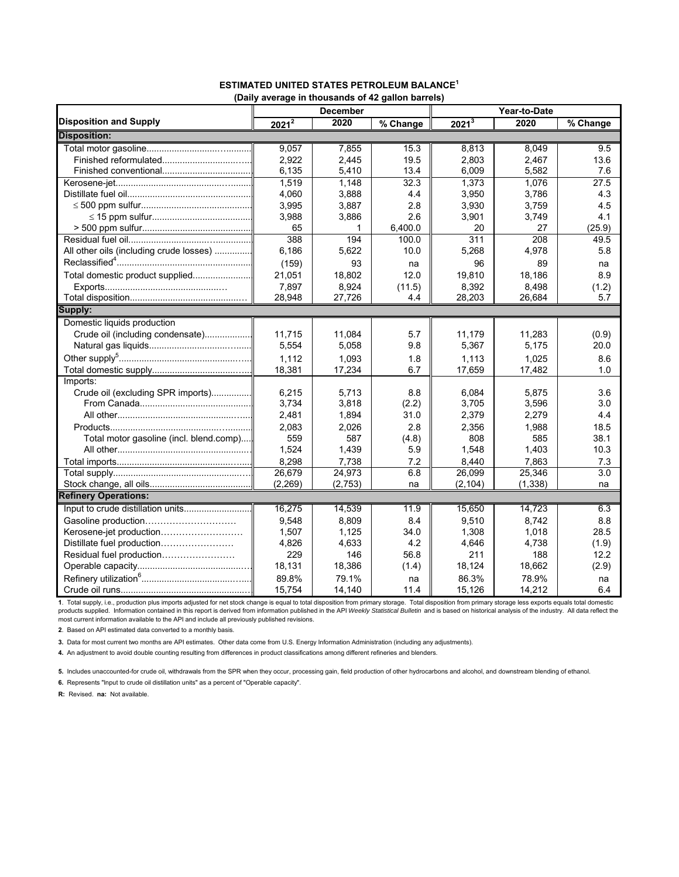|                                         | (Dany average in thousanus or 42 gallon barreis)<br><b>December</b> |         |          | Year-to-Date      |          |                   |  |  |
|-----------------------------------------|---------------------------------------------------------------------|---------|----------|-------------------|----------|-------------------|--|--|
| <b>Disposition and Supply</b>           | $2021^{\overline{2}}$                                               | 2020    | % Change | 2021 <sup>3</sup> | 2020     | $\sqrt{2}$ Change |  |  |
| <b>Disposition:</b>                     |                                                                     |         |          |                   |          |                   |  |  |
|                                         | 9,057                                                               | 7.855   | 15.3     | 8,813             | 8.049    | 9.5               |  |  |
| Finished reformulated                   | 2.922                                                               | 2.445   | 19.5     | 2.803             | 2.467    | 13.6              |  |  |
|                                         | 6,135                                                               | 5,410   | 13.4     | 6,009             | 5.582    | 7.6               |  |  |
|                                         | 1,519                                                               | 1.148   | 32.3     | 1,373             | 1,076    | 27.5              |  |  |
|                                         | 4.060                                                               | 3.888   | 4.4      | 3,950             | 3.786    | 4.3               |  |  |
|                                         | 3,995                                                               | 3,887   | 2.8      | 3,930             | 3,759    | 4.5               |  |  |
|                                         | 3,988                                                               | 3,886   | 2.6      | 3,901             | 3,749    | 4.1               |  |  |
|                                         | 65                                                                  | 1       | 6.400.0  | 20                | 27       | (25.9)            |  |  |
|                                         | 388                                                                 | 194     | 100.0    | 311               | 208      | 49.5              |  |  |
| All other oils (including crude losses) | 6,186                                                               | 5,622   | 10.0     | 5,268             | 4,978    | 5.8               |  |  |
|                                         | (159)                                                               | 93      | na       | 96                | 89       | na                |  |  |
| Total domestic product supplied         | 21,051                                                              | 18,802  | 12.0     | 19.810            | 18,186   | 8.9               |  |  |
|                                         | 7,897                                                               | 8,924   | (11.5)   | 8,392             | 8,498    | (1.2)             |  |  |
|                                         | 28.948                                                              | 27,726  | 4.4      | 28,203            | 26,684   | 5.7               |  |  |
| Supply:                                 |                                                                     |         |          |                   |          |                   |  |  |
| Domestic liquids production             |                                                                     |         |          |                   |          |                   |  |  |
| Crude oil (including condensate)        | 11.715                                                              | 11.084  | 5.7      | 11,179            | 11,283   | (0.9)             |  |  |
|                                         | 5,554                                                               | 5,058   | 9.8      | 5,367             | 5,175    | 20.0              |  |  |
|                                         | 1,112                                                               | 1,093   | 1.8      | 1,113             | 1,025    | 8.6               |  |  |
|                                         | 18,381                                                              | 17,234  | 6.7      | 17,659            | 17,482   | 1.0               |  |  |
| Imports:                                |                                                                     |         |          |                   |          |                   |  |  |
| Crude oil (excluding SPR imports)       | 6,215                                                               | 5,713   | 8.8      | 6,084             | 5,875    | 3.6               |  |  |
|                                         | 3,734                                                               | 3,818   | (2.2)    | 3,705             | 3,596    | 3.0               |  |  |
|                                         | 2,481                                                               | 1,894   | 31.0     | 2,379             | 2,279    | 4.4               |  |  |
|                                         | 2,083                                                               | 2,026   | 2.8      | 2,356             | 1,988    | 18.5              |  |  |
| Total motor gasoline (incl. blend.comp) | 559                                                                 | 587     | (4.8)    | 808               | 585      | 38.1              |  |  |
|                                         | 1,524                                                               | 1,439   | 5.9      | 1,548             | 1,403    | 10.3              |  |  |
|                                         | 8,298                                                               | 7,738   | 7.2      | 8,440             | 7,863    | 7.3               |  |  |
|                                         | 26,679                                                              | 24,973  | 6.8      | 26,099            | 25,346   | 3.0               |  |  |
|                                         | (2,269)                                                             | (2,753) | na       | (2, 104)          | (1, 338) | na                |  |  |
| <b>Refinery Operations:</b>             |                                                                     |         |          |                   |          |                   |  |  |
| Input to crude distillation units       | 16,275                                                              | 14,539  | 11.9     | 15,650            | 14,723   | 6.3               |  |  |
| Gasoline production                     | 9.548                                                               | 8,809   | 8.4      | 9,510             | 8,742    | 8.8               |  |  |
| Kerosene-jet production                 | 1,507                                                               | 1,125   | 34.0     | 1,308             | 1,018    | 28.5              |  |  |
| Distillate fuel production              | 4,826                                                               | 4,633   | 4.2      | 4,646             | 4,738    | (1.9)             |  |  |
| Residual fuel production                | 229                                                                 | 146     | 56.8     | 211               | 188      | 12.2              |  |  |
|                                         | 18,131                                                              | 18,386  | (1.4)    | 18,124            | 18,662   | (2.9)             |  |  |
|                                         | 89.8%                                                               | 79.1%   | na       | 86.3%             | 78.9%    | na                |  |  |
|                                         | 15,754                                                              | 14,140  | 11.4     | 15,126            | 14,212   | 6.4               |  |  |

#### **ESTIMATED UNITED STATES PETROLEUM BALANCE1 (Daily average in thousands of 42 gallon barrels)**

1. Total supply, i.e., production plus imports adjusted for net stock change is equal to total disposition from primary storage. Total disposition from primary storage less exports equals total domestic<br>products supplied most current information available to the API and include all previously published revisions.

**2**. Based on API estimated data converted to a monthly basis.

**3.** Data for most current two months are API estimates. Other data come from U.S. Energy Information Administration (including any adjustments).

**4.** An adjustment to avoid double counting resulting from differences in product classifications among different refineries and blenders.

**5.** Includes unaccounted-for crude oil, withdrawals from the SPR when they occur, processing gain, field production of other hydrocarbons and alcohol, and downstream blending of ethanol.

**6.** Represents "Input to crude oil distillation units" as a percent of "Operable capacity".

**R:** Revised. **na:** Not available.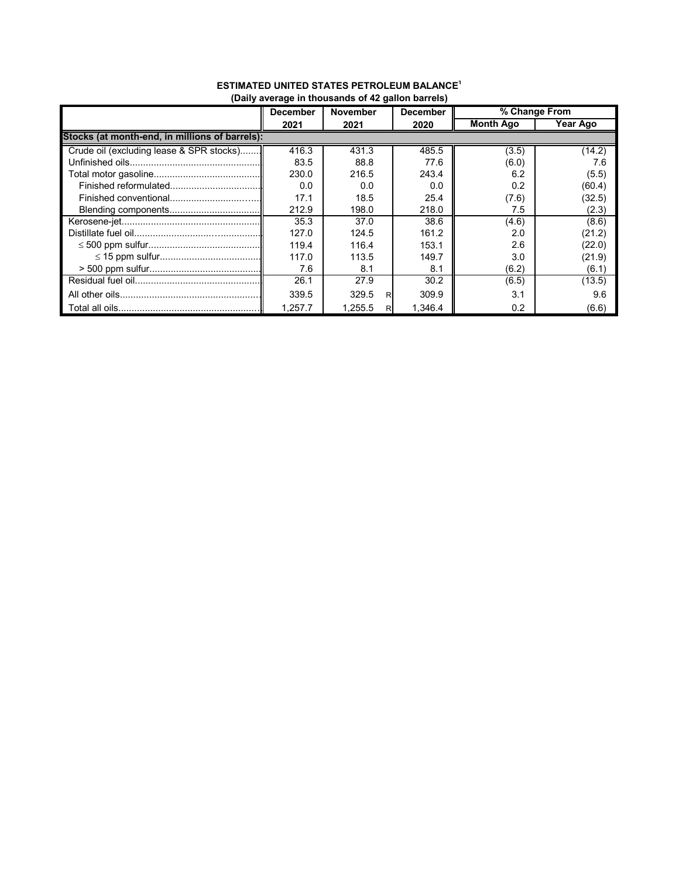|                                                | <b>December</b> | <b>November</b> | <b>December</b> | % Change From    |          |  |  |  |  |
|------------------------------------------------|-----------------|-----------------|-----------------|------------------|----------|--|--|--|--|
|                                                | 2021            | 2021            | 2020            | <b>Month Ago</b> | Year Ago |  |  |  |  |
| Stocks (at month-end, in millions of barrels): |                 |                 |                 |                  |          |  |  |  |  |
| Crude oil (excluding lease & SPR stocks)       | 416.3           | 431.3           | 485.5           | (3.5)            | (14.2)   |  |  |  |  |
|                                                | 83.5            | 88.8            | 77.6            | (6.0)            | 7.6      |  |  |  |  |
|                                                | 230.0           | 216.5           | 243.4           | 6.2              | (5.5)    |  |  |  |  |
|                                                | 0.0             | 0.0             | 0.0             | 0.2              | (60.4)   |  |  |  |  |
|                                                | 17.1            | 18.5            | 25.4            | (7.6)            | (32.5)   |  |  |  |  |
|                                                | 212.9           | 198.0           | 218.0           | 7.5              | (2.3)    |  |  |  |  |
|                                                | 35.3            | 37.0            | 38.6            | (4.6)            | (8.6)    |  |  |  |  |
|                                                | 127.0           | 124.5           | 161.2           | 2.0              | (21.2)   |  |  |  |  |
|                                                | 119.4           | 116.4           | 153.1           | 2.6              | (22.0)   |  |  |  |  |
|                                                | 117.0           | 113.5           | 149.7           | 3.0              | (21.9)   |  |  |  |  |
|                                                | 7.6             | 8.1             | 8.1             | (6.2)            | (6.1)    |  |  |  |  |
|                                                | 26.1            | 27.9            | 30.2            | (6.5)            | (13.5)   |  |  |  |  |
|                                                | 339.5           | 329.5<br>R      | 309.9           | 3.1              | 9.6      |  |  |  |  |
|                                                | 1.257.7         | 1.255.5<br>RI   | 1.346.4         | 0.2              | (6.6)    |  |  |  |  |

#### **ESTIMATED UNITED STATES PETROLEUM BALANCE1 (Daily average in thousands of 42 gallon barrels)**